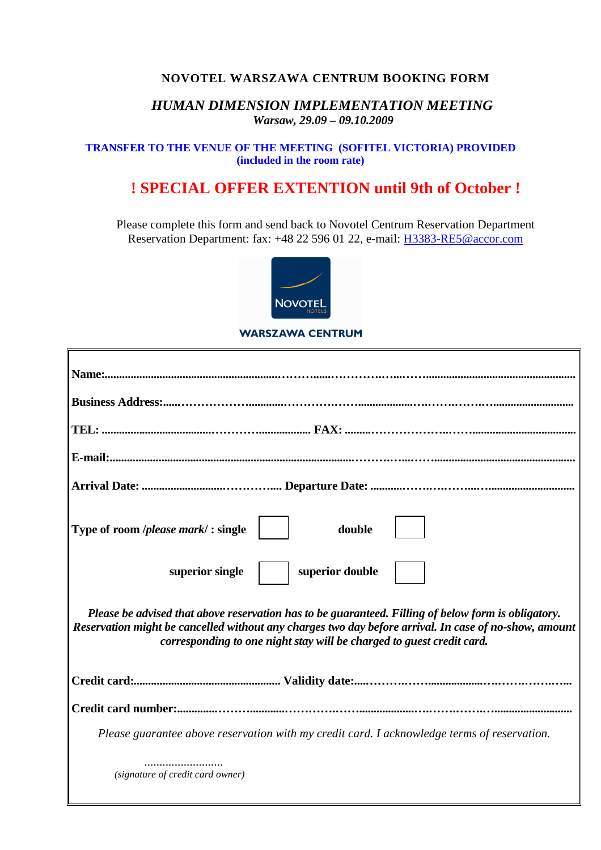## **NOVOTEL WARSZAWA CENTRUM BOOKING FORM**

## *HUMAN DIMENSION IMPLEMENTATION MEETING Warsaw, 29.09 – 09.10.2009*

### **TRANSFER TO THE VENUE OF THE MEETING (SOFITEL VICTORIA) PROVIDED (included in the room rate)**

# **! SPECIAL OFFER EXTENTION until 9th of October !**

Please complete this form and send back to Novotel Centrum Reservation Department Reservation Department: fax: +48 22 596 01 22, e-mail: H3383-RE5@accor.com



### **WARSZAWA CENTRUM**

| Type of room <i> please mark</i> /: single<br>double                                                                                                                                                                                                                                  |
|---------------------------------------------------------------------------------------------------------------------------------------------------------------------------------------------------------------------------------------------------------------------------------------|
| superior single<br>superior double                                                                                                                                                                                                                                                    |
| Please be advised that above reservation has to be guaranteed. Filling of below form is obligatory.<br>Reservation might be cancelled without any charges two day before arrival. In case of no-show, amount<br>corresponding to one night stay will be charged to guest credit card. |
|                                                                                                                                                                                                                                                                                       |
|                                                                                                                                                                                                                                                                                       |
| Please guarantee above reservation with my credit card. I acknowledge terms of reservation.                                                                                                                                                                                           |
| (signature of credit card owner)                                                                                                                                                                                                                                                      |